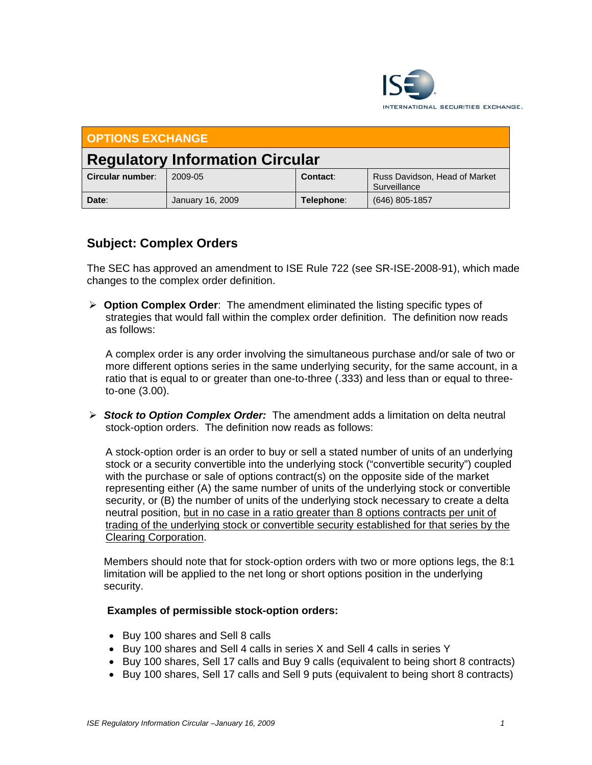

| <b>OPTIONS EXCHANGE</b>                |                  |            |                                               |
|----------------------------------------|------------------|------------|-----------------------------------------------|
| <b>Regulatory Information Circular</b> |                  |            |                                               |
| Circular number:                       | 2009-05          | Contact:   | Russ Davidson, Head of Market<br>Surveillance |
| Date:                                  | January 16, 2009 | Telephone: | $(646)$ 805-1857                              |

## **Subject: Complex Orders**

The SEC has approved an amendment to ISE Rule 722 (see SR-ISE-2008-91), which made changes to the complex order definition.

¾ **Option Complex Order**: The amendment eliminated the listing specific types of strategies that would fall within the complex order definition. The definition now reads as follows:

A complex order is any order involving the simultaneous purchase and/or sale of two or more different options series in the same underlying security, for the same account, in a ratio that is equal to or greater than one-to-three (.333) and less than or equal to threeto-one (3.00).

¾ *Stock to Option Complex Order:* The amendment adds a limitation on delta neutral stock-option orders. The definition now reads as follows:

A stock-option order is an order to buy or sell a stated number of units of an underlying stock or a security convertible into the underlying stock ("convertible security") coupled with the purchase or sale of options contract(s) on the opposite side of the market representing either (A) the same number of units of the underlying stock or convertible security, or (B) the number of units of the underlying stock necessary to create a delta neutral position, but in no case in a ratio greater than 8 options contracts per unit of trading of the underlying stock or convertible security established for that series by the Clearing Corporation.

Members should note that for stock-option orders with two or more options legs, the 8:1 limitation will be applied to the net long or short options position in the underlying security.

## **Examples of permissible stock-option orders:**

- Buy 100 shares and Sell 8 calls
- Buy 100 shares and Sell 4 calls in series X and Sell 4 calls in series Y
- Buy 100 shares, Sell 17 calls and Buy 9 calls (equivalent to being short 8 contracts)
- Buy 100 shares, Sell 17 calls and Sell 9 puts (equivalent to being short 8 contracts)